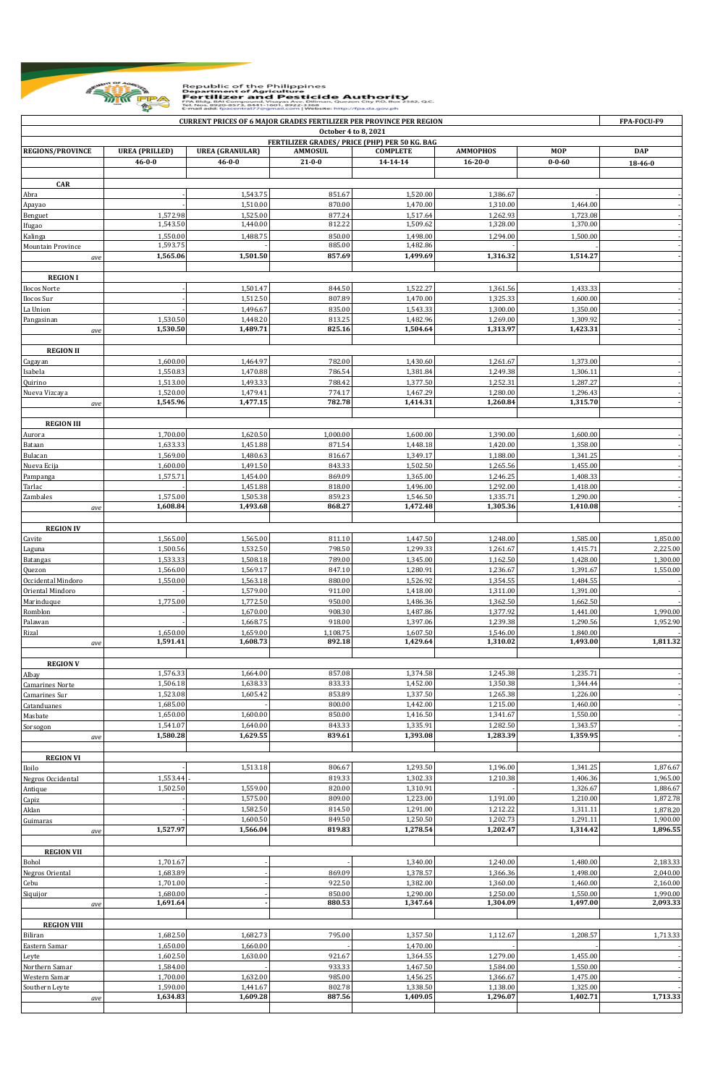

## Republic of the Philippines<br> **Example 2008**<br> **Example 2008**<br> **Example 2008**<br> **Example 2008**<br> **Example 2008**<br> **Example 2008**<br> **Example 2008**<br> **Example 2008**<br> **Example 2008**<br> **Example 2008**<br> **Example 2008**<br> **Example 2008**<br>

| <b>CURRENT PRICES OF 6 MAJOR GRADES FERTILIZER PER PROVINCE PER REGION</b> |                                                                       |                        |                  |                      |                      |                      |                          |  |  |  |  |  |
|----------------------------------------------------------------------------|-----------------------------------------------------------------------|------------------------|------------------|----------------------|----------------------|----------------------|--------------------------|--|--|--|--|--|
|                                                                            | October 4 to 8, 2021<br>FERTILIZER GRADES/ PRICE (PHP) PER 50 KG. BAG |                        |                  |                      |                      |                      |                          |  |  |  |  |  |
| <b>REGIONS/PROVINCE</b>                                                    | <b>UREA (PRILLED)</b>                                                 | <b>UREA (GRANULAR)</b> | <b>AMMOSUL</b>   | <b>COMPLETE</b>      | <b>AMMOPHOS</b>      | <b>MOP</b>           | <b>DAP</b>               |  |  |  |  |  |
|                                                                            | $46 - 0 - 0$                                                          | $46 - 0 - 0$           | $21 - 0 - 0$     | 14-14-14             | $16 - 20 - 0$        | $0 - 0 - 60$         | 18-46-0                  |  |  |  |  |  |
|                                                                            |                                                                       |                        |                  |                      |                      |                      |                          |  |  |  |  |  |
| <b>CAR</b><br>Abra                                                         |                                                                       | 1,543.75               | 851.67           | 1,520.00             | 1,386.67             |                      |                          |  |  |  |  |  |
| Apayao                                                                     |                                                                       | 1,510.00               | 870.00           | 1,470.00             | 1,310.00             | 1,464.00             |                          |  |  |  |  |  |
| Benguet                                                                    | 1,572.98                                                              | 1,525.00               | 877.24           | 1,517.64             | 1,262.93             | 1,723.08             |                          |  |  |  |  |  |
| Ifugao                                                                     | 1,543.50                                                              | 1,440.00               | 812.22           | 1,509.62             | 1,328.00             | 1,370.00             |                          |  |  |  |  |  |
| Kalinga                                                                    | 1,550.00<br>1,593.75                                                  | 1,488.75               | 850.00<br>885.00 | 1,498.00<br>1,482.86 | 1,294.00             | 1,500.00             |                          |  |  |  |  |  |
| Mountain Province<br>ave                                                   | 1,565.06                                                              | 1,501.50               | 857.69           | 1,499.69             | 1,316.32             | 1,514.27             |                          |  |  |  |  |  |
|                                                                            |                                                                       |                        |                  |                      |                      |                      |                          |  |  |  |  |  |
| <b>REGION I</b>                                                            |                                                                       |                        |                  |                      |                      |                      |                          |  |  |  |  |  |
| Ilocos Norte                                                               |                                                                       | 1,501.47               | 844.50           | 1,522.27             | 1,361.56             | 1,433.33             |                          |  |  |  |  |  |
| Ilocos Sur                                                                 |                                                                       | 1,512.50               | 807.89           | 1,470.00             | 1,325.33             | 1,600.00             |                          |  |  |  |  |  |
| La Union                                                                   | 1,530.50                                                              | 1,496.67<br>1,448.20   | 835.00<br>813.25 | 1,543.33<br>1,482.96 | 1,300.00<br>1,269.00 | 1,350.00<br>1,309.92 |                          |  |  |  |  |  |
| Pangasinan<br>ave                                                          | 1,530.50                                                              | 1,489.71               | 825.16           | 1,504.64             | 1,313.97             | 1,423.31             |                          |  |  |  |  |  |
|                                                                            |                                                                       |                        |                  |                      |                      |                      |                          |  |  |  |  |  |
| <b>REGION II</b>                                                           |                                                                       |                        |                  |                      |                      |                      |                          |  |  |  |  |  |
| Cagayan                                                                    | 1,600.00                                                              | 1,464.97               | 782.00           | 1,430.60             | 1,261.67             | 1,373.00             |                          |  |  |  |  |  |
| Isabela                                                                    | 1,550.83                                                              | 1,470.88               | 786.54           | 1,381.84             | 1,249.38             | 1,306.11             |                          |  |  |  |  |  |
| Quirino<br>Nueva Vizcaya                                                   | 1,513.00<br>1,520.00                                                  | 1,493.33<br>1,479.41   | 788.42<br>774.17 | 1,377.50<br>1,467.29 | 1,252.31<br>1,280.00 | 1,287.27<br>1,296.43 |                          |  |  |  |  |  |
| ave                                                                        | 1,545.96                                                              | 1,477.15               | 782.78           | 1,414.31             | 1,260.84             | 1,315.70             |                          |  |  |  |  |  |
|                                                                            |                                                                       |                        |                  |                      |                      |                      |                          |  |  |  |  |  |
| <b>REGION III</b>                                                          |                                                                       |                        |                  |                      |                      |                      |                          |  |  |  |  |  |
| Aurora                                                                     | 1,700.00                                                              | 1,620.50               | 1,000.00         | 1,600.00             | 1,390.00             | 1,600.00             |                          |  |  |  |  |  |
| Bataan                                                                     | 1,633.33                                                              | 1,451.88               | 871.54           | 1,448.18             | 1,420.00             | 1,358.00             |                          |  |  |  |  |  |
| Bulacan                                                                    | 1,569.00<br>1,600.00                                                  | 1,480.63<br>1,491.50   | 816.67<br>843.33 | 1,349.17<br>1,502.50 | 1,188.00<br>1,265.56 | 1,341.25<br>1,455.00 | $\overline{\phantom{a}}$ |  |  |  |  |  |
| Nueva Ecija<br>Pampanga                                                    | 1,575.71                                                              | 1,454.00               | 869.09           | 1,365.00             | 1,246.25             | 1,408.33             | $\overline{\phantom{a}}$ |  |  |  |  |  |
| Tarlac                                                                     |                                                                       | 1,451.88               | 818.00           | 1,496.00             | 1,292.00             | 1,418.00             |                          |  |  |  |  |  |
| Zambales                                                                   | 1,575.00                                                              | 1,505.38               | 859.23           | 1,546.50             | 1,335.71             | 1,290.00             |                          |  |  |  |  |  |
| ave                                                                        | 1,608.84                                                              | 1,493.68               | 868.27           | 1,472.48             | 1,305.36             | 1,410.08             |                          |  |  |  |  |  |
|                                                                            |                                                                       |                        |                  |                      |                      |                      |                          |  |  |  |  |  |
| <b>REGION IV</b>                                                           | 1,565.00                                                              | 1,565.00               | 811.10           |                      |                      |                      |                          |  |  |  |  |  |
| Cavite<br>Laguna                                                           | 1,500.56                                                              | 1,532.50               | 798.50           | 1,447.50<br>1,299.33 | 1,248.00<br>1,261.67 | 1,585.00<br>1,415.71 | 1,850.00<br>2,225.00     |  |  |  |  |  |
| Batangas                                                                   | 1,533.33                                                              | 1,508.18               | 789.00           | 1,345.00             | 1,162.50             | 1,428.00             | 1,300.00                 |  |  |  |  |  |
| Quezon                                                                     | 1,566.00                                                              | 1,569.17               | 847.10           | 1,280.91             | 1,236.67             | 1,391.67             | 1,550.00                 |  |  |  |  |  |
| Occidental Mindoro                                                         | 1,550.00                                                              | 1,563.18               | 880.00           | 1,526.92             | 1,354.55             | 1,484.55             |                          |  |  |  |  |  |
| Oriental Mindoro                                                           |                                                                       | 1,579.00               | 911.00           | 1,418.00             | 1,311.00             | 1,391.00             | $\overline{a}$           |  |  |  |  |  |
| Marinduque                                                                 | 1,775.00                                                              | 1,772.50               | 950.00           | 1,486.36             | 1,362.50             | 1,662.50             |                          |  |  |  |  |  |
| Romblon<br>Palawan                                                         |                                                                       | 1,670.00<br>1,668.75   | 908.30<br>918.00 | 1,487.86<br>1,397.06 | 1,377.92<br>1,239.38 | 1,441.00<br>1,290.56 | 1,990.00<br>1,952.90     |  |  |  |  |  |
| Rizal                                                                      | 1,650.00                                                              | 1,659.00               | 1,108.75         | 1,607.50             | 1,546.00             | 1,840.00             |                          |  |  |  |  |  |
| ave                                                                        | 1,591.41                                                              | 1,608.73               | 892.18           | 1,429.64             | 1,310.02             | 1,493.00             | 1,811.32                 |  |  |  |  |  |
|                                                                            |                                                                       |                        |                  |                      |                      |                      |                          |  |  |  |  |  |
| <b>REGION V</b>                                                            | 1,576.33                                                              | 1,664.00               | 857.08           | 1,374.58             | 1,245.38             | 1,235.71             |                          |  |  |  |  |  |
| Albay<br>Camarines Norte                                                   | 1,506.18                                                              | 1,638.33               | 833.33           | 1,452.00             | 1,350.38             | 1,344.44             |                          |  |  |  |  |  |
| Camarines Sur                                                              | 1,523.08                                                              | 1,605.42               | 853.89           | 1,337.50             | 1,265.38             | 1,226.00             |                          |  |  |  |  |  |
| Catanduanes                                                                | 1,685.00                                                              |                        | 800.00           | 1,442.00             | 1,215.00             | 1,460.00             |                          |  |  |  |  |  |
| Masbate                                                                    | 1,650.00                                                              | 1,600.00               | 850.00           | 1,416.50             | 1,341.67             | 1,550.00             |                          |  |  |  |  |  |
| Sorsogon                                                                   | 1,541.07                                                              | 1,640.00               | 843.33           | 1,335.91             | 1,282.50             | 1,343.57             |                          |  |  |  |  |  |
| ave                                                                        | 1,580.28                                                              | 1,629.55               | 839.61           | 1,393.08             | 1,283.39             | 1,359.95             |                          |  |  |  |  |  |
| <b>REGION VI</b>                                                           |                                                                       |                        |                  |                      |                      |                      |                          |  |  |  |  |  |
| Iloilo                                                                     |                                                                       | 1,513.18               | 806.67           | 1,293.50             | 1,196.00             | 1,341.25             | 1,876.67                 |  |  |  |  |  |
| Negros Occidental                                                          | 1,553.44                                                              |                        | 819.33           | 1,302.33             | 1,210.38             | 1,406.36             | 1,965.00                 |  |  |  |  |  |
| Antique                                                                    | 1,502.50                                                              | 1,559.00               | 820.00           | 1,310.91             |                      | 1,326.67             | 1,886.67                 |  |  |  |  |  |
| Capiz                                                                      |                                                                       | 1,575.00               | 809.00           | 1,223.00             | 1,191.00             | 1,210.00             | 1,872.78                 |  |  |  |  |  |
| Aklan                                                                      |                                                                       | 1,582.50<br>1,600.50   | 814.50<br>849.50 | 1,291.00<br>1,250.50 | 1,212.22<br>1,202.73 | 1,311.11<br>1,291.11 | 1,878.20<br>1,900.00     |  |  |  |  |  |
| Guimaras<br>ave                                                            | 1,527.97                                                              | 1,566.04               | 819.83           | 1,278.54             | 1,202.47             | 1,314.42             | 1,896.55                 |  |  |  |  |  |
|                                                                            |                                                                       |                        |                  |                      |                      |                      |                          |  |  |  |  |  |
| <b>REGION VII</b>                                                          |                                                                       |                        |                  |                      |                      |                      |                          |  |  |  |  |  |
| Bohol                                                                      | 1,701.67                                                              |                        |                  | 1,340.00             | 1,240.00             | 1,480.00             | 2,183.33                 |  |  |  |  |  |
| Negros Oriental                                                            | 1,683.89                                                              |                        | 869.09           | 1,378.57             | 1,366.36             | 1,498.00             | 2,040.00                 |  |  |  |  |  |
| Cebu                                                                       | 1,701.00                                                              |                        | 922.50           | 1,382.00             | 1,360.00             | 1,460.00             | 2,160.00                 |  |  |  |  |  |
| Siquijor<br>ave                                                            | 1,680.00<br>1,691.64                                                  |                        | 850.00<br>880.53 | 1,290.00<br>1,347.64 | 1,250.00<br>1,304.09 | 1,550.00<br>1,497.00 | 1,990.00<br>2,093.33     |  |  |  |  |  |
|                                                                            |                                                                       |                        |                  |                      |                      |                      |                          |  |  |  |  |  |
| <b>REGION VIII</b>                                                         |                                                                       |                        |                  |                      |                      |                      |                          |  |  |  |  |  |
| Biliran                                                                    | 1,682.50                                                              | 1,682.73               | 795.00           | 1,357.50             | 1,112.67             | 1,208.57             | 1,713.33                 |  |  |  |  |  |
| Eastern Samar                                                              | 1,650.00                                                              | 1,660.00               |                  | 1,470.00             |                      |                      |                          |  |  |  |  |  |
| Leyte                                                                      | 1,602.50<br>1,584.00                                                  | 1,630.00               | 921.67<br>933.33 | 1,364.55<br>1,467.50 | 1,279.00<br>1,584.00 | 1,455.00<br>1,550.00 | ÷                        |  |  |  |  |  |
| Northern Samar<br>Western Samar                                            | 1,700.00                                                              | 1,632.00               | 985.00           | 1,456.25             | 1,366.67             | 1,475.00             | ÷                        |  |  |  |  |  |
| Southern Leyte                                                             | 1,590.00                                                              | 1,441.67               | 802.78           | 1,338.50             | 1,138.00             | 1,325.00             |                          |  |  |  |  |  |
| ave                                                                        | 1,634.83                                                              | 1,609.28               | 887.56           | 1,409.05             | 1,296.07             | 1,402.71             | 1,713.33                 |  |  |  |  |  |
|                                                                            |                                                                       |                        |                  |                      |                      |                      |                          |  |  |  |  |  |